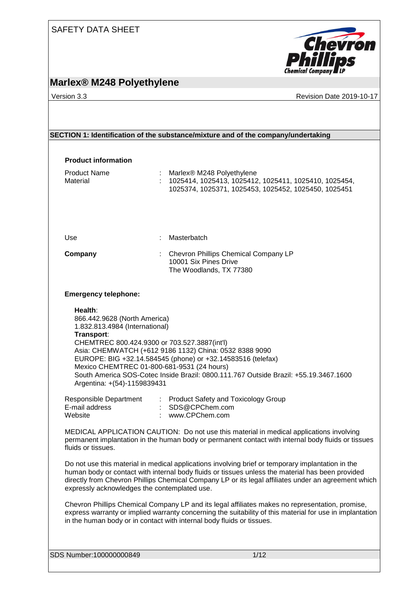

# **Marlex® M248 Polyethylene**

Version 3.3 Revision Date 2019-10-17

| SECTION 1: Identification of the substance/mixture and of the company/undertaking |  |
|-----------------------------------------------------------------------------------|--|
|-----------------------------------------------------------------------------------|--|

| <b>Product information</b><br><b>Product Name</b><br>Material                                                                                                                                             | : Marlex® M248 Polyethylene<br>: 1025414, 1025413, 1025412, 1025411, 1025410, 1025454,<br>1025374, 1025371, 1025453, 1025452, 1025450, 1025451                                                                                                                                                               |
|-----------------------------------------------------------------------------------------------------------------------------------------------------------------------------------------------------------|--------------------------------------------------------------------------------------------------------------------------------------------------------------------------------------------------------------------------------------------------------------------------------------------------------------|
| Use                                                                                                                                                                                                       | Masterbatch                                                                                                                                                                                                                                                                                                  |
| Company                                                                                                                                                                                                   | Chevron Phillips Chemical Company LP<br>10001 Six Pines Drive<br>The Woodlands, TX 77380                                                                                                                                                                                                                     |
| <b>Emergency telephone:</b>                                                                                                                                                                               |                                                                                                                                                                                                                                                                                                              |
| 866.442.9628 (North America)<br>1.832.813.4984 (International)<br>Transport:<br>CHEMTREC 800.424.9300 or 703.527.3887(int'l)<br>Mexico CHEMTREC 01-800-681-9531 (24 hours)<br>Argentina: +(54)-1159839431 | Asia: CHEMWATCH (+612 9186 1132) China: 0532 8388 9090<br>EUROPE: BIG +32.14.584545 (phone) or +32.14583516 (telefax)<br>South America SOS-Cotec Inside Brazil: 0800.111.767 Outside Brazil: +55.19.3467.1600                                                                                                |
| E-mail address<br>Website                                                                                                                                                                                 | Responsible Department : Product Safety and Toxicology Group<br>: SDS@CPChem.com<br>: www.CPChem.com                                                                                                                                                                                                         |
| fluids or tissues.                                                                                                                                                                                        | MEDICAL APPLICATION CAUTION: Do not use this material in medical applications involving<br>permanent implantation in the human body or permanent contact with internal body fluids or tissues                                                                                                                |
| expressly acknowledges the contemplated use.                                                                                                                                                              | Do not use this material in medical applications involving brief or temporary implantation in the<br>human body or contact with internal body fluids or tissues unless the material has been provided<br>directly from Chevron Phillips Chemical Company LP or its legal affiliates under an agreement which |
|                                                                                                                                                                                                           | Chevron Phillips Chemical Company LP and its legal affiliates makes no representation, promise,<br>express warranty or implied warranty concerning the suitability of this material for use in implantation<br>in the human body or in contact with internal body fluids or tissues.                         |
| SDS Number:100000000849                                                                                                                                                                                   | 1/12                                                                                                                                                                                                                                                                                                         |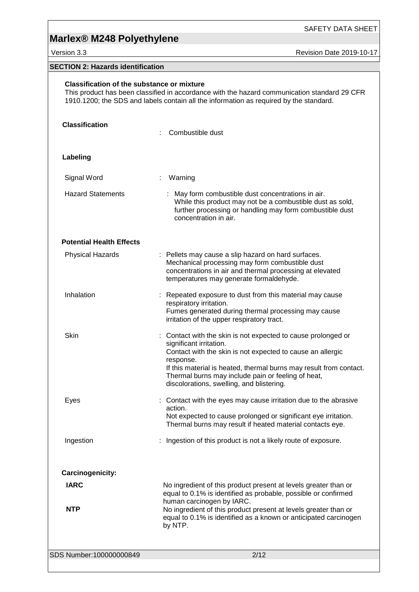Version 3.3 Revision Date 2019-10-17

## **SECTION 2: Hazards identification**

| <b>Classification of the substance or mixture</b> | This product has been classified in accordance with the hazard communication standard 29 CFR<br>1910.1200; the SDS and labels contain all the information as required by the standard.                                                                                                                                                       |
|---------------------------------------------------|----------------------------------------------------------------------------------------------------------------------------------------------------------------------------------------------------------------------------------------------------------------------------------------------------------------------------------------------|
| <b>Classification</b>                             | Combustible dust                                                                                                                                                                                                                                                                                                                             |
| Labeling                                          |                                                                                                                                                                                                                                                                                                                                              |
| Signal Word                                       | : Warning                                                                                                                                                                                                                                                                                                                                    |
| <b>Hazard Statements</b>                          | : May form combustible dust concentrations in air.<br>While this product may not be a combustible dust as sold,<br>further processing or handling may form combustible dust<br>concentration in air.                                                                                                                                         |
| <b>Potential Health Effects</b>                   |                                                                                                                                                                                                                                                                                                                                              |
| <b>Physical Hazards</b>                           | : Pellets may cause a slip hazard on hard surfaces.<br>Mechanical processing may form combustible dust<br>concentrations in air and thermal processing at elevated<br>temperatures may generate formaldehyde.                                                                                                                                |
| Inhalation                                        | : Repeated exposure to dust from this material may cause<br>respiratory irritation.<br>Fumes generated during thermal processing may cause<br>irritation of the upper respiratory tract.                                                                                                                                                     |
| Skin                                              | : Contact with the skin is not expected to cause prolonged or<br>significant irritation.<br>Contact with the skin is not expected to cause an allergic<br>response.<br>If this material is heated, thermal burns may result from contact.<br>Thermal burns may include pain or feeling of heat,<br>discolorations, swelling, and blistering. |
| Eyes                                              | Contact with the eyes may cause irritation due to the abrasive<br>action.<br>Not expected to cause prolonged or significant eye irritation.<br>Thermal burns may result if heated material contacts eye.                                                                                                                                     |
| Ingestion                                         | Ingestion of this product is not a likely route of exposure.                                                                                                                                                                                                                                                                                 |
| Carcinogenicity:                                  |                                                                                                                                                                                                                                                                                                                                              |
| <b>IARC</b>                                       | No ingredient of this product present at levels greater than or<br>equal to 0.1% is identified as probable, possible or confirmed<br>human carcinogen by IARC.                                                                                                                                                                               |
| <b>NTP</b>                                        | No ingredient of this product present at levels greater than or<br>equal to 0.1% is identified as a known or anticipated carcinogen<br>by NTP.                                                                                                                                                                                               |
| SDS Number:100000000849                           | 2/12                                                                                                                                                                                                                                                                                                                                         |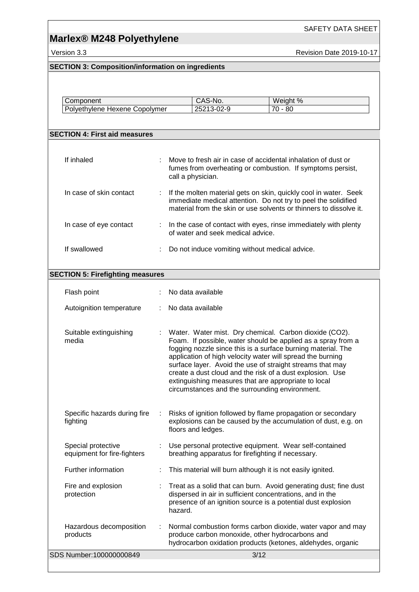SAFETY DATA SHEET

Version 3.3 **All 2019-10-17** Revision Date 2019-10-17

## **SECTION 3: Composition/information on ingredients**

| Component                     | S-No.<br>CAJ      | Weight %                       |
|-------------------------------|-------------------|--------------------------------|
| Polyethylene Hexene Copolymer | . 3-UJ-0<br>25213 | $\overline{\phantom{a}}$<br>80 |

### **SECTION 4: First aid measures**

| If inhaled              | Move to fresh air in case of accidental inhalation of dust or<br>÷<br>fumes from overheating or combustion. If symptoms persist,<br>call a physician.                                                    |  |
|-------------------------|----------------------------------------------------------------------------------------------------------------------------------------------------------------------------------------------------------|--|
| In case of skin contact | If the molten material gets on skin, quickly cool in water. Seek<br>immediate medical attention. Do not try to peel the solidified<br>material from the skin or use solvents or thinners to dissolve it. |  |
| In case of eye contact  | : In the case of contact with eyes, rinse immediately with plenty<br>of water and seek medical advice.                                                                                                   |  |
| If swallowed            | Do not induce vomiting without medical advice.                                                                                                                                                           |  |

### **SECTION 5: Firefighting measures**

| Flash point                                       |   | No data available                                                                                                                                                                                                                                                                              |
|---------------------------------------------------|---|------------------------------------------------------------------------------------------------------------------------------------------------------------------------------------------------------------------------------------------------------------------------------------------------|
|                                                   |   |                                                                                                                                                                                                                                                                                                |
| Autoignition temperature                          |   | No data available                                                                                                                                                                                                                                                                              |
| Suitable extinguishing<br>media                   |   | : Water. Water mist. Dry chemical. Carbon dioxide (CO2).<br>Foam. If possible, water should be applied as a spray from a<br>fogging nozzle since this is a surface burning material. The                                                                                                       |
|                                                   |   | application of high velocity water will spread the burning<br>surface layer. Avoid the use of straight streams that may<br>create a dust cloud and the risk of a dust explosion. Use<br>extinguishing measures that are appropriate to local<br>circumstances and the surrounding environment. |
| Specific hazards during fire<br>fighting          |   | Risks of ignition followed by flame propagation or secondary<br>explosions can be caused by the accumulation of dust, e.g. on<br>floors and ledges.                                                                                                                                            |
| Special protective<br>equipment for fire-fighters |   | : Use personal protective equipment. Wear self-contained<br>breathing apparatus for firefighting if necessary.                                                                                                                                                                                 |
| Further information                               |   | This material will burn although it is not easily ignited.                                                                                                                                                                                                                                     |
| Fire and explosion<br>protection                  |   | Treat as a solid that can burn. Avoid generating dust; fine dust<br>dispersed in air in sufficient concentrations, and in the<br>presence of an ignition source is a potential dust explosion<br>hazard.                                                                                       |
| Hazardous decomposition<br>products               | ÷ | Normal combustion forms carbon dioxide, water vapor and may<br>produce carbon monoxide, other hydrocarbons and<br>hydrocarbon oxidation products (ketones, aldehydes, organic                                                                                                                  |
| SDS Number:100000000849                           |   | 3/12                                                                                                                                                                                                                                                                                           |
|                                                   |   |                                                                                                                                                                                                                                                                                                |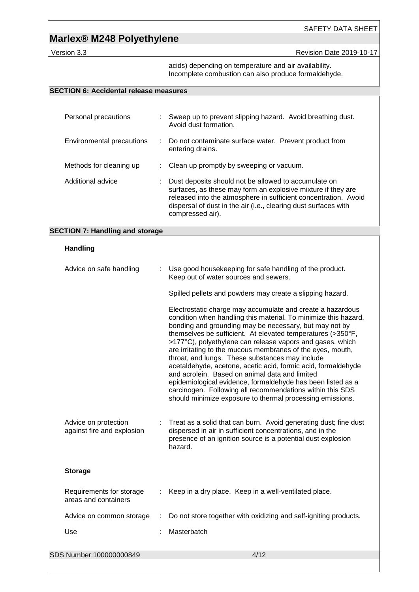### SAFETY DATA SHEET

Version 3.3 **All 2019-10-17** Revision Date 2019-10-17

acids) depending on temperature and air availability. Incomplete combustion can also produce formaldehyde.

### **SECTION 6: Accidental release measures**

| Personal precautions      |   | Sweep up to prevent slipping hazard. Avoid breathing dust.<br>Avoid dust formation.                                                                                                                                                                                            |
|---------------------------|---|--------------------------------------------------------------------------------------------------------------------------------------------------------------------------------------------------------------------------------------------------------------------------------|
| Environmental precautions | ÷ | Do not contaminate surface water. Prevent product from<br>entering drains.                                                                                                                                                                                                     |
| Methods for cleaning up   |   | Clean up promptly by sweeping or vacuum.                                                                                                                                                                                                                                       |
| Additional advice         |   | Dust deposits should not be allowed to accumulate on<br>surfaces, as these may form an explosive mixture if they are<br>released into the atmosphere in sufficient concentration. Avoid<br>dispersal of dust in the air (i.e., clearing dust surfaces with<br>compressed air). |

### **SECTION 7: Handling and storage**

### **Handling**

| Advice on safe handling                            | Use good housekeeping for safe handling of the product.<br>Keep out of water sources and sewers.                                                                                                                                                                                                                                                                                                                                                                                                                                                                                                                                                                                                                                                 |
|----------------------------------------------------|--------------------------------------------------------------------------------------------------------------------------------------------------------------------------------------------------------------------------------------------------------------------------------------------------------------------------------------------------------------------------------------------------------------------------------------------------------------------------------------------------------------------------------------------------------------------------------------------------------------------------------------------------------------------------------------------------------------------------------------------------|
|                                                    | Spilled pellets and powders may create a slipping hazard.                                                                                                                                                                                                                                                                                                                                                                                                                                                                                                                                                                                                                                                                                        |
|                                                    | Electrostatic charge may accumulate and create a hazardous<br>condition when handling this material. To minimize this hazard,<br>bonding and grounding may be necessary, but may not by<br>themselves be sufficient. At elevated temperatures (>350°F,<br>>177°C), polyethylene can release vapors and gases, which<br>are irritating to the mucous membranes of the eyes, mouth,<br>throat, and lungs. These substances may include<br>acetaldehyde, acetone, acetic acid, formic acid, formaldehyde<br>and acrolein. Based on animal data and limited<br>epidemiological evidence, formaldehyde has been listed as a<br>carcinogen. Following all recommendations within this SDS<br>should minimize exposure to thermal processing emissions. |
| Advice on protection<br>against fire and explosion | Treat as a solid that can burn. Avoid generating dust; fine dust<br>dispersed in air in sufficient concentrations, and in the<br>presence of an ignition source is a potential dust explosion<br>hazard.                                                                                                                                                                                                                                                                                                                                                                                                                                                                                                                                         |
| <b>Storage</b>                                     |                                                                                                                                                                                                                                                                                                                                                                                                                                                                                                                                                                                                                                                                                                                                                  |
| Requirements for storage<br>areas and containers   | Keep in a dry place. Keep in a well-ventilated place.                                                                                                                                                                                                                                                                                                                                                                                                                                                                                                                                                                                                                                                                                            |
| Advice on common storage                           | Do not store together with oxidizing and self-igniting products.                                                                                                                                                                                                                                                                                                                                                                                                                                                                                                                                                                                                                                                                                 |
| Use                                                | Masterbatch                                                                                                                                                                                                                                                                                                                                                                                                                                                                                                                                                                                                                                                                                                                                      |
| SDS Number:100000000849                            | 4/12                                                                                                                                                                                                                                                                                                                                                                                                                                                                                                                                                                                                                                                                                                                                             |
|                                                    |                                                                                                                                                                                                                                                                                                                                                                                                                                                                                                                                                                                                                                                                                                                                                  |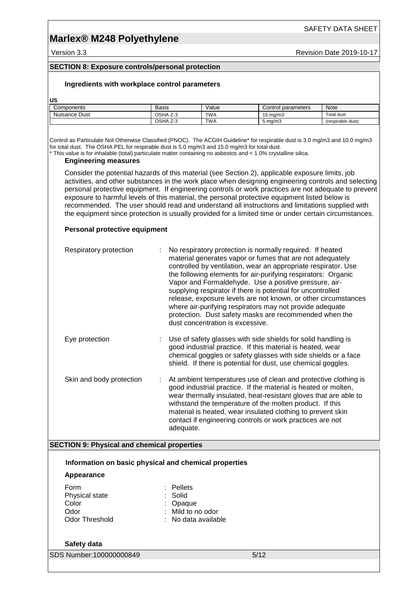# **Marlex® M248 Polyethylene**

Version 3.3 **Revision Date 2019-10-17** Revision Date 2019-10-17

### **SECTION 8: Exposure controls/personal protection**

### **Ingredients with workplace control parameters**

**US**

| Components    | Basis                                     | Value      | parameters<br>شcontrol | Note              |
|---------------|-------------------------------------------|------------|------------------------|-------------------|
| Nuisance Dust | OSHA<br>$\overline{\phantom{a}}$<br>. Z-3 | <b>TWA</b> | 15 ma/m3               | Total dust        |
|               | OSHA<br>$\overline{\phantom{a}}$<br>Z-3   | <b>TWA</b> | ma/m3                  | (respirable dust) |

Control as Particulate Not Otherwise Classified (PNOC). The ACGIH Guideline\* for respirable dust is 3.0 mg/m3 and 10.0 mg/m3 for total dust. The OSHA PEL for respirable dust is 5.0 mg/m3 and 15.0 mg/m3 for total dust.

\* This value is for inhalable (total) particulate matter containing no asbestos and < 1.0% crystalline silica.

### **Engineering measures**

Consider the potential hazards of this material (see Section 2), applicable exposure limits, job activities, and other substances in the work place when designing engineering controls and selecting personal protective equipment. If engineering controls or work practices are not adequate to prevent exposure to harmful levels of this material, the personal protective equipment listed below is recommended. The user should read and understand all instructions and limitations supplied with the equipment since protection is usually provided for a limited time or under certain circumstances.

### **Personal protective equipment**

| Respiratory protection                                           | No respiratory protection is normally required. If heated<br>material generates vapor or fumes that are not adequately<br>controlled by ventilation, wear an appropriate respirator. Use<br>the following elements for air-purifying respirators: Organic<br>Vapor and Formaldehyde. Use a positive pressure, air-<br>supplying respirator if there is potential for uncontrolled<br>release, exposure levels are not known, or other circumstances<br>where air-purifying respirators may not provide adequate<br>protection. Dust safety masks are recommended when the<br>dust concentration is excessive. |
|------------------------------------------------------------------|---------------------------------------------------------------------------------------------------------------------------------------------------------------------------------------------------------------------------------------------------------------------------------------------------------------------------------------------------------------------------------------------------------------------------------------------------------------------------------------------------------------------------------------------------------------------------------------------------------------|
| Eye protection                                                   | Use of safety glasses with side shields for solid handling is<br>good industrial practice. If this material is heated, wear<br>chemical goggles or safety glasses with side shields or a face<br>shield. If there is potential for dust, use chemical goggles.                                                                                                                                                                                                                                                                                                                                                |
| Skin and body protection                                         | At ambient temperatures use of clean and protective clothing is<br>good industrial practice. If the material is heated or molten,<br>wear thermally insulated, heat-resistant gloves that are able to<br>withstand the temperature of the molten product. If this<br>material is heated, wear insulated clothing to prevent skin<br>contact if engineering controls or work practices are not<br>adequate.                                                                                                                                                                                                    |
| <b>SECTION 9: Physical and chemical properties</b>               |                                                                                                                                                                                                                                                                                                                                                                                                                                                                                                                                                                                                               |
| Information on basic physical and chemical properties            |                                                                                                                                                                                                                                                                                                                                                                                                                                                                                                                                                                                                               |
| Appearance                                                       |                                                                                                                                                                                                                                                                                                                                                                                                                                                                                                                                                                                                               |
| Form<br>Physical state<br>Color<br>Odor<br><b>Odor Threshold</b> | Pellets<br>Solid<br>Opaque<br>Mild to no odor<br>No data available                                                                                                                                                                                                                                                                                                                                                                                                                                                                                                                                            |
| Safety data                                                      |                                                                                                                                                                                                                                                                                                                                                                                                                                                                                                                                                                                                               |
| SDS Number:100000000849                                          | 5/12                                                                                                                                                                                                                                                                                                                                                                                                                                                                                                                                                                                                          |
|                                                                  |                                                                                                                                                                                                                                                                                                                                                                                                                                                                                                                                                                                                               |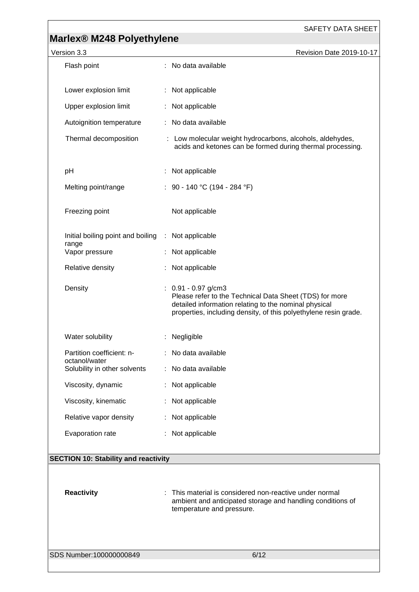| , <u>  .</u><br>Version 3.3                        | Revision Date 2019-10-17                                                                                                                                                                                      |
|----------------------------------------------------|---------------------------------------------------------------------------------------------------------------------------------------------------------------------------------------------------------------|
| Flash point                                        | : No data available                                                                                                                                                                                           |
|                                                    |                                                                                                                                                                                                               |
| Lower explosion limit                              | : Not applicable                                                                                                                                                                                              |
| Upper explosion limit                              | Not applicable                                                                                                                                                                                                |
| Autoignition temperature                           | : No data available                                                                                                                                                                                           |
| Thermal decomposition                              | : Low molecular weight hydrocarbons, alcohols, aldehydes,<br>acids and ketones can be formed during thermal processing.                                                                                       |
| pH                                                 | Not applicable                                                                                                                                                                                                |
| Melting point/range                                | : 90 - 140 °C (194 - 284 °F)                                                                                                                                                                                  |
| Freezing point                                     | Not applicable                                                                                                                                                                                                |
| Initial boiling point and boiling : Not applicable |                                                                                                                                                                                                               |
| range<br>Vapor pressure                            | Not applicable                                                                                                                                                                                                |
| Relative density                                   | Not applicable                                                                                                                                                                                                |
| Density                                            | $: 0.91 - 0.97$ g/cm3<br>Please refer to the Technical Data Sheet (TDS) for more<br>detailed information relating to the nominal physical<br>properties, including density, of this polyethylene resin grade. |
| Water solubility                                   | Negligible                                                                                                                                                                                                    |
| Partition coefficient: n-<br>octanol/water         | : No data available                                                                                                                                                                                           |
| Solubility in other solvents                       | : No data available                                                                                                                                                                                           |
| Viscosity, dynamic                                 | Not applicable                                                                                                                                                                                                |
| Viscosity, kinematic                               | Not applicable                                                                                                                                                                                                |
| Relative vapor density                             | Not applicable                                                                                                                                                                                                |
| Evaporation rate                                   | Not applicable                                                                                                                                                                                                |
|                                                    |                                                                                                                                                                                                               |
| <b>SECTION 10: Stability and reactivity</b>        |                                                                                                                                                                                                               |
|                                                    |                                                                                                                                                                                                               |

**Reactivity** : This material is considered non-reactive under normal ambient and anticipated storage and handling conditions of temperature and pressure.

SDS Number:100000000849 6/12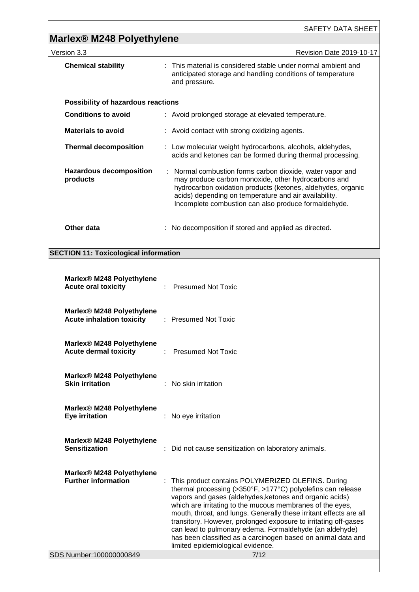| <b>Marlex® M248 Polyethylene</b>                                          | <b>SAFETY DATA SHEET</b>                                                                                                                                                                                                                                                                                                                                                                                                                                                                                                                          |
|---------------------------------------------------------------------------|---------------------------------------------------------------------------------------------------------------------------------------------------------------------------------------------------------------------------------------------------------------------------------------------------------------------------------------------------------------------------------------------------------------------------------------------------------------------------------------------------------------------------------------------------|
| Version 3.3                                                               | Revision Date 2019-10-17                                                                                                                                                                                                                                                                                                                                                                                                                                                                                                                          |
| <b>Chemical stability</b>                                                 | : This material is considered stable under normal ambient and<br>anticipated storage and handling conditions of temperature<br>and pressure.                                                                                                                                                                                                                                                                                                                                                                                                      |
| Possibility of hazardous reactions                                        |                                                                                                                                                                                                                                                                                                                                                                                                                                                                                                                                                   |
| <b>Conditions to avoid</b>                                                | : Avoid prolonged storage at elevated temperature.                                                                                                                                                                                                                                                                                                                                                                                                                                                                                                |
| <b>Materials to avoid</b>                                                 | : Avoid contact with strong oxidizing agents.                                                                                                                                                                                                                                                                                                                                                                                                                                                                                                     |
| <b>Thermal decomposition</b>                                              | : Low molecular weight hydrocarbons, alcohols, aldehydes,<br>acids and ketones can be formed during thermal processing.                                                                                                                                                                                                                                                                                                                                                                                                                           |
| <b>Hazardous decomposition</b><br>products                                | : Normal combustion forms carbon dioxide, water vapor and<br>may produce carbon monoxide, other hydrocarbons and<br>hydrocarbon oxidation products (ketones, aldehydes, organic<br>acids) depending on temperature and air availability.<br>Incomplete combustion can also produce formaldehyde.                                                                                                                                                                                                                                                  |
| Other data                                                                | No decomposition if stored and applied as directed.                                                                                                                                                                                                                                                                                                                                                                                                                                                                                               |
| <b>SECTION 11: Toxicological information</b>                              |                                                                                                                                                                                                                                                                                                                                                                                                                                                                                                                                                   |
|                                                                           |                                                                                                                                                                                                                                                                                                                                                                                                                                                                                                                                                   |
| Marlex <sup>®</sup> M248 Polyethylene<br><b>Acute oral toxicity</b>       | <b>Presumed Not Toxic</b>                                                                                                                                                                                                                                                                                                                                                                                                                                                                                                                         |
| Marlex <sup>®</sup> M248 Polyethylene<br><b>Acute inhalation toxicity</b> | : Presumed Not Toxic                                                                                                                                                                                                                                                                                                                                                                                                                                                                                                                              |
| Marlex® M248 Polyethylene<br><b>Acute dermal toxicity</b>                 | : Presumed Not Toxic                                                                                                                                                                                                                                                                                                                                                                                                                                                                                                                              |
| Marlex® M248 Polyethylene<br><b>Skin irritation</b>                       | No skin irritation                                                                                                                                                                                                                                                                                                                                                                                                                                                                                                                                |
| Marlex® M248 Polyethylene<br>Eye irritation                               | : No eye irritation                                                                                                                                                                                                                                                                                                                                                                                                                                                                                                                               |
| Marlex <sup>®</sup> M248 Polyethylene<br><b>Sensitization</b>             | : Did not cause sensitization on laboratory animals.                                                                                                                                                                                                                                                                                                                                                                                                                                                                                              |
| Marlex <sup>®</sup> M248 Polyethylene<br><b>Further information</b>       | This product contains POLYMERIZED OLEFINS. During<br>thermal processing (>350°F, >177°C) polyolefins can release<br>vapors and gases (aldehydes, ketones and organic acids)<br>which are irritating to the mucous membranes of the eyes,<br>mouth, throat, and lungs. Generally these irritant effects are all<br>transitory. However, prolonged exposure to irritating off-gases<br>can lead to pulmonary edema. Formaldehyde (an aldehyde)<br>has been classified as a carcinogen based on animal data and<br>limited epidemiological evidence. |
| SDS Number:100000000849                                                   | 7/12                                                                                                                                                                                                                                                                                                                                                                                                                                                                                                                                              |
|                                                                           |                                                                                                                                                                                                                                                                                                                                                                                                                                                                                                                                                   |

<u> 1989 - Johann Barbara, martxa alemaniar argametra (h. 1989).</u>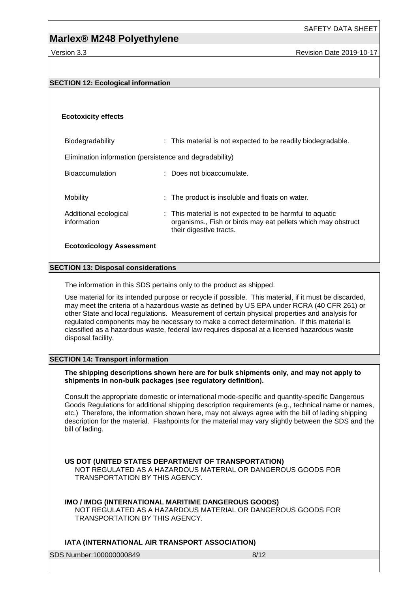### **SECTION 12: Ecological information**

### **Ecotoxicity effects**

information

Biodegradability : This material is not expected to be readily biodegradable. Elimination information (persistence and degradability) Bioaccumulation : Does not bioaccumulate. Mobility **EXECUTE:** The product is insoluble and floats on water. Additional ecological : This material is not expected to be harmful to aquatic

their digestive tracts.

organisms., Fish or birds may eat pellets which may obstruct

### **Ecotoxicology Assessment**

#### **SECTION 13: Disposal considerations**

The information in this SDS pertains only to the product as shipped.

Use material for its intended purpose or recycle if possible. This material, if it must be discarded, may meet the criteria of a hazardous waste as defined by US EPA under RCRA (40 CFR 261) or other State and local regulations. Measurement of certain physical properties and analysis for regulated components may be necessary to make a correct determination. If this material is classified as a hazardous waste, federal law requires disposal at a licensed hazardous waste disposal facility.

### **SECTION 14: Transport information**

#### **The shipping descriptions shown here are for bulk shipments only, and may not apply to shipments in non-bulk packages (see regulatory definition).**

Consult the appropriate domestic or international mode-specific and quantity-specific Dangerous Goods Regulations for additional shipping description requirements (e.g., technical name or names, etc.) Therefore, the information shown here, may not always agree with the bill of lading shipping description for the material. Flashpoints for the material may vary slightly between the SDS and the bill of lading.

### **US DOT (UNITED STATES DEPARTMENT OF TRANSPORTATION)**

NOT REGULATED AS A HAZARDOUS MATERIAL OR DANGEROUS GOODS FOR TRANSPORTATION BY THIS AGENCY.

### **IMO / IMDG (INTERNATIONAL MARITIME DANGEROUS GOODS)**

NOT REGULATED AS A HAZARDOUS MATERIAL OR DANGEROUS GOODS FOR TRANSPORTATION BY THIS AGENCY.

### **IATA (INTERNATIONAL AIR TRANSPORT ASSOCIATION)**

SDS Number:100000000849 8/12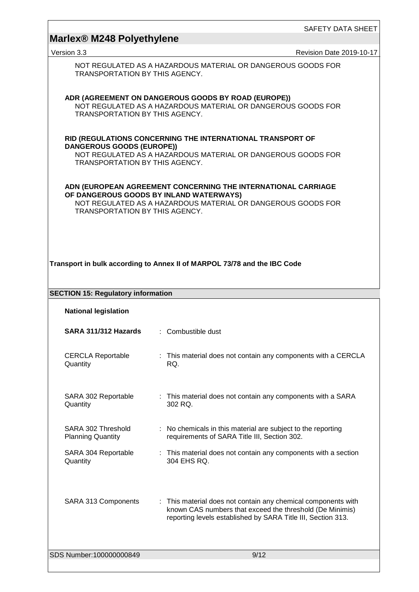| <b>SAFETY DATA SHEET</b> |  |
|--------------------------|--|
|                          |  |

| Marlex <sup>®</sup> M248 Polyethylene                                                                                                                                                                      | SAFETY DATA SHEET                                                                                                                                                                         |  |  |  |  |
|------------------------------------------------------------------------------------------------------------------------------------------------------------------------------------------------------------|-------------------------------------------------------------------------------------------------------------------------------------------------------------------------------------------|--|--|--|--|
| Version 3.3                                                                                                                                                                                                | Revision Date 2019-10-17                                                                                                                                                                  |  |  |  |  |
| NOT REGULATED AS A HAZARDOUS MATERIAL OR DANGEROUS GOODS FOR<br>TRANSPORTATION BY THIS AGENCY.                                                                                                             |                                                                                                                                                                                           |  |  |  |  |
| ADR (AGREEMENT ON DANGEROUS GOODS BY ROAD (EUROPE))<br>NOT REGULATED AS A HAZARDOUS MATERIAL OR DANGEROUS GOODS FOR<br>TRANSPORTATION BY THIS AGENCY.                                                      |                                                                                                                                                                                           |  |  |  |  |
| RID (REGULATIONS CONCERNING THE INTERNATIONAL TRANSPORT OF<br><b>DANGEROUS GOODS (EUROPE))</b><br>NOT REGULATED AS A HAZARDOUS MATERIAL OR DANGEROUS GOODS FOR<br><b>TRANSPORTATION BY THIS AGENCY.</b>    |                                                                                                                                                                                           |  |  |  |  |
| ADN (EUROPEAN AGREEMENT CONCERNING THE INTERNATIONAL CARRIAGE<br>OF DANGEROUS GOODS BY INLAND WATERWAYS)<br>NOT REGULATED AS A HAZARDOUS MATERIAL OR DANGEROUS GOODS FOR<br>TRANSPORTATION BY THIS AGENCY. |                                                                                                                                                                                           |  |  |  |  |
| Transport in bulk according to Annex II of MARPOL 73/78 and the IBC Code<br><b>SECTION 15: Regulatory information</b>                                                                                      |                                                                                                                                                                                           |  |  |  |  |
| <b>National legislation</b>                                                                                                                                                                                |                                                                                                                                                                                           |  |  |  |  |
| SARA 311/312 Hazards                                                                                                                                                                                       | : Combustible dust                                                                                                                                                                        |  |  |  |  |
| <b>CERCLA Reportable</b><br>Quantity                                                                                                                                                                       | : This material does not contain any components with a CERCLA<br>RQ.                                                                                                                      |  |  |  |  |
| SARA 302 Reportable<br>Quantity                                                                                                                                                                            | : This material does not contain any components with a SARA<br>302 RQ.                                                                                                                    |  |  |  |  |
| SARA 302 Threshold<br><b>Planning Quantity</b>                                                                                                                                                             | : No chemicals in this material are subject to the reporting<br>requirements of SARA Title III, Section 302.                                                                              |  |  |  |  |
| SARA 304 Reportable<br>Quantity                                                                                                                                                                            | : This material does not contain any components with a section<br>304 EHS RQ.                                                                                                             |  |  |  |  |
| SARA 313 Components                                                                                                                                                                                        | : This material does not contain any chemical components with<br>known CAS numbers that exceed the threshold (De Minimis)<br>reporting levels established by SARA Title III, Section 313. |  |  |  |  |
| SDS Number:100000000849                                                                                                                                                                                    | 9/12                                                                                                                                                                                      |  |  |  |  |

<u> 1989 - Andrea Station Barbara, actor a component de la componentación de la componentación de la componentaci</u>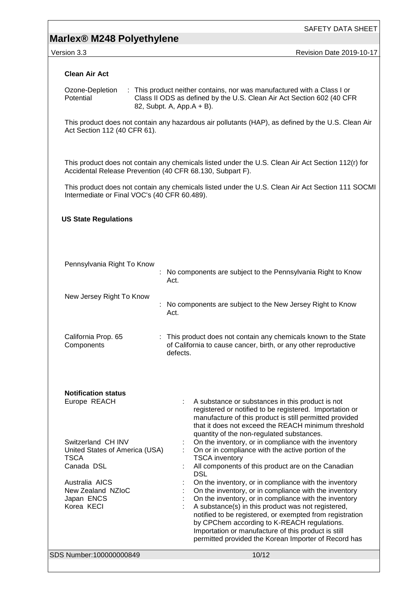# **Marlex® M248 Polyethylene**

Version 3.3 **All 2019-10-17** Revision Date 2019-10-17

### **Clean Air Act**

Ozone-Depletion **Potential** : This product neither contains, nor was manufactured with a Class I or Class II ODS as defined by the U.S. Clean Air Act Section 602 (40 CFR 82, Subpt. A, App.A + B).

This product does not contain any hazardous air pollutants (HAP), as defined by the U.S. Clean Air Act Section 112 (40 CFR 61).

This product does not contain any chemicals listed under the U.S. Clean Air Act Section 112(r) for Accidental Release Prevention (40 CFR 68.130, Subpart F).

This product does not contain any chemicals listed under the U.S. Clean Air Act Section 111 SOCMI Intermediate or Final VOC's (40 CFR 60.489).

## SDS Number:100000000849 10/12 **US State Regulations** Pennsylvania Right To Know : No components are subject to the Pennsylvania Right to Know Act. New Jersey Right To Know : No components are subject to the New Jersey Right to Know Act. California Prop. 65 **Components** : This product does not contain any chemicals known to the State of California to cause cancer, birth, or any other reproductive defects. **Notification status** Europe REACH : A substance or substances in this product is not registered or notified to be registered. Importation or manufacture of this product is still permitted provided that it does not exceed the REACH minimum threshold quantity of the non-regulated substances. Switzerland CH INV : On the inventory, or in compliance with the inventory United States of America (USA) TSCA<br>Canada DSL : On or in compliance with the active portion of the TSCA inventory : All components of this product are on the Canadian **DSL** Australia AICS : On the inventory, or in compliance with the inventory<br>New Zealand NZIoC : On the inventory, or in compliance with the inventory On the inventory, or in compliance with the inventory Japan ENCS **:** On the inventory, or in compliance with the inventory Korea KECI : A substance(s) in this product was not registered, notified to be registered, or exempted from registration by CPChem according to K-REACH regulations. Importation or manufacture of this product is still permitted provided the Korean Importer of Record has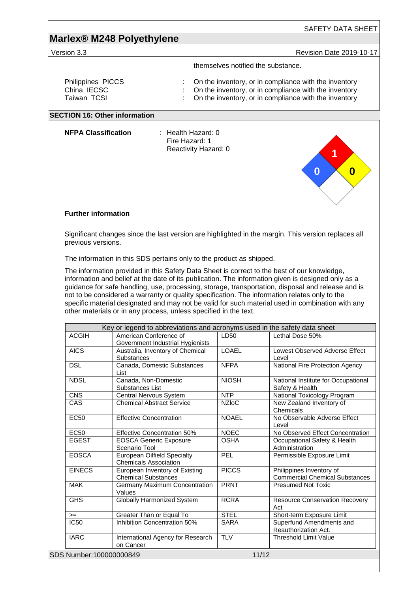| Version 3.3                                     |                                                                                                                                                                                                                                                                                                                                                                                                                                                                                  |                     | <b>Revision Date 2019-10-17</b>                                                                                                                                         |
|-------------------------------------------------|----------------------------------------------------------------------------------------------------------------------------------------------------------------------------------------------------------------------------------------------------------------------------------------------------------------------------------------------------------------------------------------------------------------------------------------------------------------------------------|---------------------|-------------------------------------------------------------------------------------------------------------------------------------------------------------------------|
|                                                 |                                                                                                                                                                                                                                                                                                                                                                                                                                                                                  |                     | themselves notified the substance.                                                                                                                                      |
| Philippines PICCS<br>China IECSC<br>Taiwan TCSI |                                                                                                                                                                                                                                                                                                                                                                                                                                                                                  |                     | On the inventory, or in compliance with the inventory<br>On the inventory, or in compliance with the inventory<br>On the inventory, or in compliance with the inventory |
|                                                 | <b>SECTION 16: Other information</b>                                                                                                                                                                                                                                                                                                                                                                                                                                             |                     |                                                                                                                                                                         |
| <b>NFPA Classification</b>                      | : Health Hazard: 0<br>Fire Hazard: 1<br>Reactivity Hazard: 0                                                                                                                                                                                                                                                                                                                                                                                                                     |                     | 0<br>0                                                                                                                                                                  |
| <b>Further information</b>                      |                                                                                                                                                                                                                                                                                                                                                                                                                                                                                  |                     |                                                                                                                                                                         |
| previous versions.                              | Significant changes since the last version are highlighted in the margin. This version replaces all                                                                                                                                                                                                                                                                                                                                                                              |                     |                                                                                                                                                                         |
|                                                 | The information in this SDS pertains only to the product as shipped.                                                                                                                                                                                                                                                                                                                                                                                                             |                     |                                                                                                                                                                         |
|                                                 | The information provided in this Safety Data Sheet is correct to the best of our knowledge,                                                                                                                                                                                                                                                                                                                                                                                      |                     |                                                                                                                                                                         |
|                                                 | information and belief at the date of its publication. The information given is designed only as a<br>guidance for safe handling, use, processing, storage, transportation, disposal and release and is<br>not to be considered a warranty or quality specification. The information relates only to the<br>specific material designated and may not be valid for such material used in combination with any<br>other materials or in any process, unless specified in the text. |                     |                                                                                                                                                                         |
|                                                 |                                                                                                                                                                                                                                                                                                                                                                                                                                                                                  |                     |                                                                                                                                                                         |
| <b>ACGIH</b>                                    | Key or legend to abbreviations and acronyms used in the safety data sheet<br>American Conference of                                                                                                                                                                                                                                                                                                                                                                              | LD50                | Lethal Dose 50%                                                                                                                                                         |
| <b>AICS</b>                                     | Government Industrial Hygienists<br>Australia, Inventory of Chemical                                                                                                                                                                                                                                                                                                                                                                                                             | LOAEL               | Lowest Observed Adverse Effect                                                                                                                                          |
| <b>DSL</b>                                      | Substances<br>Canada, Domestic Substances                                                                                                                                                                                                                                                                                                                                                                                                                                        | <b>NFPA</b>         | Level                                                                                                                                                                   |
| <b>NDSL</b>                                     | List<br>Canada, Non-Domestic                                                                                                                                                                                                                                                                                                                                                                                                                                                     | <b>NIOSH</b>        | National Fire Protection Agency<br>National Institute for Occupational                                                                                                  |
|                                                 | Substances List                                                                                                                                                                                                                                                                                                                                                                                                                                                                  |                     | Safety & Health                                                                                                                                                         |
| <b>CNS</b><br>CAS                               | Central Nervous System<br><b>Chemical Abstract Service</b>                                                                                                                                                                                                                                                                                                                                                                                                                       | NTP<br><b>NZIoC</b> | <b>National Toxicology Program</b><br>New Zealand Inventory of<br>Chemicals                                                                                             |
| <b>EC50</b>                                     | <b>Effective Concentration</b>                                                                                                                                                                                                                                                                                                                                                                                                                                                   | <b>NOAEL</b>        | No Observable Adverse Effect<br>Level                                                                                                                                   |
| <b>EC50</b>                                     | <b>Effective Concentration 50%</b>                                                                                                                                                                                                                                                                                                                                                                                                                                               | <b>NOEC</b>         | No Observed Effect Concentration                                                                                                                                        |
| <b>EGEST</b>                                    | <b>EOSCA Generic Exposure</b><br>Scenario Tool                                                                                                                                                                                                                                                                                                                                                                                                                                   | <b>OSHA</b>         | Occupational Safety & Health<br>Administration                                                                                                                          |
| <b>EOSCA</b>                                    | <b>European Oilfield Specialty</b><br><b>Chemicals Association</b>                                                                                                                                                                                                                                                                                                                                                                                                               | PEL                 | Permissible Exposure Limit                                                                                                                                              |
| <b>EINECS</b>                                   | European Inventory of Existing<br><b>Chemical Substances</b>                                                                                                                                                                                                                                                                                                                                                                                                                     | <b>PICCS</b>        | Philippines Inventory of<br><b>Commercial Chemical Substances</b>                                                                                                       |
| <b>MAK</b>                                      | Germany Maximum Concentration<br>Values                                                                                                                                                                                                                                                                                                                                                                                                                                          | <b>PRNT</b>         | <b>Presumed Not Toxic</b>                                                                                                                                               |
| <b>GHS</b>                                      | <b>Globally Harmonized System</b>                                                                                                                                                                                                                                                                                                                                                                                                                                                | <b>RCRA</b>         | Act                                                                                                                                                                     |
| $>=$                                            | Greater Than or Equal To                                                                                                                                                                                                                                                                                                                                                                                                                                                         | <b>STEL</b>         | <b>Resource Conservation Recovery</b><br>Short-term Exposure Limit                                                                                                      |
| <b>IC50</b>                                     | Inhibition Concentration 50%                                                                                                                                                                                                                                                                                                                                                                                                                                                     | <b>SARA</b>         | Superfund Amendments and<br>Reauthorization Act.                                                                                                                        |

<u> 1989 - Johann Barn, mars eta bainar eta idazlea (</u>

<u> 1989 - Johann Barn, mars ar breithinn ar chwaraeth a bhaile ann an 1989. Bhaile ann an 1989 - Bhaile ann an 1</u>

┑

 $\overline{1}$